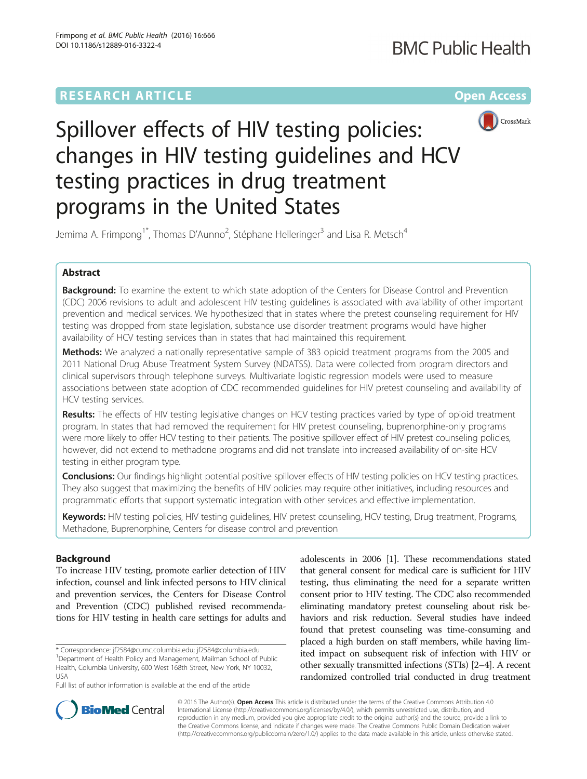# **RESEARCH ARTICLE External Structure Community Community Community Community Community Community Community Community**



# Spillover effects of HIV testing policies: changes in HIV testing guidelines and HCV testing practices in drug treatment programs in the United States

Jemima A. Frimpong<sup>1\*</sup>, Thomas D'Aunno<sup>2</sup>, Stéphane Helleringer<sup>3</sup> and Lisa R. Metsch<sup>4</sup>

# Abstract

Background: To examine the extent to which state adoption of the Centers for Disease Control and Prevention (CDC) 2006 revisions to adult and adolescent HIV testing guidelines is associated with availability of other important prevention and medical services. We hypothesized that in states where the pretest counseling requirement for HIV testing was dropped from state legislation, substance use disorder treatment programs would have higher availability of HCV testing services than in states that had maintained this requirement.

**Methods:** We analyzed a nationally representative sample of 383 opioid treatment programs from the 2005 and 2011 National Drug Abuse Treatment System Survey (NDATSS). Data were collected from program directors and clinical supervisors through telephone surveys. Multivariate logistic regression models were used to measure associations between state adoption of CDC recommended guidelines for HIV pretest counseling and availability of HCV testing services.

Results: The effects of HIV testing legislative changes on HCV testing practices varied by type of opioid treatment program. In states that had removed the requirement for HIV pretest counseling, buprenorphine-only programs were more likely to offer HCV testing to their patients. The positive spillover effect of HIV pretest counseling policies, however, did not extend to methadone programs and did not translate into increased availability of on-site HCV testing in either program type.

Conclusions: Our findings highlight potential positive spillover effects of HIV testing policies on HCV testing practices. They also suggest that maximizing the benefits of HIV policies may require other initiatives, including resources and programmatic efforts that support systematic integration with other services and effective implementation.

Keywords: HIV testing policies, HIV testing quidelines, HIV pretest counseling, HCV testing, Drug treatment, Programs, Methadone, Buprenorphine, Centers for disease control and prevention

## Background

To increase HIV testing, promote earlier detection of HIV infection, counsel and link infected persons to HIV clinical and prevention services, the Centers for Disease Control and Prevention (CDC) published revised recommendations for HIV testing in health care settings for adults and

\* Correspondence: [jf2584@cumc.columbia.edu](mailto:jf2584@cumc.columbia.edu); [jf2584@columbia.edu](mailto:jf2584@columbia.edu) <sup>1</sup> <sup>1</sup>Department of Health Policy and Management, Mailman School of Public Health, Columbia University, 600 West 168th Street, New York, NY 10032, USA

Full list of author information is available at the end of the article

adolescents in 2006 [\[1\]](#page-9-0). These recommendations stated that general consent for medical care is sufficient for HIV testing, thus eliminating the need for a separate written consent prior to HIV testing. The CDC also recommended eliminating mandatory pretest counseling about risk behaviors and risk reduction. Several studies have indeed found that pretest counseling was time-consuming and placed a high burden on staff members, while having limited impact on subsequent risk of infection with HIV or other sexually transmitted infections (STIs) [\[2](#page-9-0)–[4\]](#page-10-0). A recent randomized controlled trial conducted in drug treatment



© 2016 The Author(s). Open Access This article is distributed under the terms of the Creative Commons Attribution 4.0 International License [\(http://creativecommons.org/licenses/by/4.0/](http://creativecommons.org/licenses/by/4.0/)), which permits unrestricted use, distribution, and reproduction in any medium, provided you give appropriate credit to the original author(s) and the source, provide a link to the Creative Commons license, and indicate if changes were made. The Creative Commons Public Domain Dedication waiver [\(http://creativecommons.org/publicdomain/zero/1.0/](http://creativecommons.org/publicdomain/zero/1.0/)) applies to the data made available in this article, unless otherwise stated.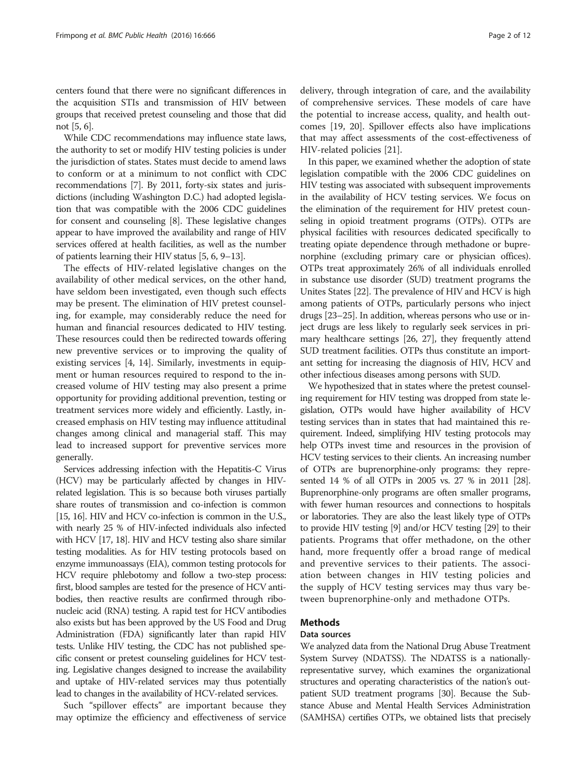centers found that there were no significant differences in the acquisition STIs and transmission of HIV between groups that received pretest counseling and those that did not [[5](#page-10-0), [6\]](#page-10-0).

While CDC recommendations may influence state laws, the authority to set or modify HIV testing policies is under the jurisdiction of states. States must decide to amend laws to conform or at a minimum to not conflict with CDC recommendations [\[7](#page-10-0)]. By 2011, forty-six states and jurisdictions (including Washington D.C.) had adopted legislation that was compatible with the 2006 CDC guidelines for consent and counseling [\[8\]](#page-10-0). These legislative changes appear to have improved the availability and range of HIV services offered at health facilities, as well as the number of patients learning their HIV status [[5](#page-10-0), [6, 9](#page-10-0)–[13\]](#page-10-0).

The effects of HIV-related legislative changes on the availability of other medical services, on the other hand, have seldom been investigated, even though such effects may be present. The elimination of HIV pretest counseling, for example, may considerably reduce the need for human and financial resources dedicated to HIV testing. These resources could then be redirected towards offering new preventive services or to improving the quality of existing services [[4, 14](#page-10-0)]. Similarly, investments in equipment or human resources required to respond to the increased volume of HIV testing may also present a prime opportunity for providing additional prevention, testing or treatment services more widely and efficiently. Lastly, increased emphasis on HIV testing may influence attitudinal changes among clinical and managerial staff. This may lead to increased support for preventive services more generally.

Services addressing infection with the Hepatitis-C Virus (HCV) may be particularly affected by changes in HIVrelated legislation. This is so because both viruses partially share routes of transmission and co-infection is common [[15, 16](#page-10-0)]. HIV and HCV co-infection is common in the U.S., with nearly 25 % of HIV-infected individuals also infected with HCV [\[17](#page-10-0), [18\]](#page-10-0). HIV and HCV testing also share similar testing modalities. As for HIV testing protocols based on enzyme immunoassays (EIA), common testing protocols for HCV require phlebotomy and follow a two-step process: first, blood samples are tested for the presence of HCV antibodies, then reactive results are confirmed through ribonucleic acid (RNA) testing. A rapid test for HCV antibodies also exists but has been approved by the US Food and Drug Administration (FDA) significantly later than rapid HIV tests. Unlike HIV testing, the CDC has not published specific consent or pretest counseling guidelines for HCV testing. Legislative changes designed to increase the availability and uptake of HIV-related services may thus potentially lead to changes in the availability of HCV-related services.

Such "spillover effects" are important because they may optimize the efficiency and effectiveness of service delivery, through integration of care, and the availability of comprehensive services. These models of care have the potential to increase access, quality, and health outcomes [\[19](#page-10-0), [20\]](#page-10-0). Spillover effects also have implications that may affect assessments of the cost-effectiveness of HIV-related policies [\[21\]](#page-10-0).

In this paper, we examined whether the adoption of state legislation compatible with the 2006 CDC guidelines on HIV testing was associated with subsequent improvements in the availability of HCV testing services. We focus on the elimination of the requirement for HIV pretest counseling in opioid treatment programs (OTPs). OTPs are physical facilities with resources dedicated specifically to treating opiate dependence through methadone or buprenorphine (excluding primary care or physician offices). OTPs treat approximately 26% of all individuals enrolled in substance use disorder (SUD) treatment programs the Unites States [[22](#page-10-0)]. The prevalence of HIV and HCV is high among patients of OTPs, particularly persons who inject drugs [\[23](#page-10-0)–[25](#page-10-0)]. In addition, whereas persons who use or inject drugs are less likely to regularly seek services in primary healthcare settings [\[26, 27\]](#page-10-0), they frequently attend SUD treatment facilities. OTPs thus constitute an important setting for increasing the diagnosis of HIV, HCV and other infectious diseases among persons with SUD.

We hypothesized that in states where the pretest counseling requirement for HIV testing was dropped from state legislation, OTPs would have higher availability of HCV testing services than in states that had maintained this requirement. Indeed, simplifying HIV testing protocols may help OTPs invest time and resources in the provision of HCV testing services to their clients. An increasing number of OTPs are buprenorphine-only programs: they represented 14 % of all OTPs in 2005 vs. 27 % in 2011 [\[28](#page-10-0)]. Buprenorphine-only programs are often smaller programs, with fewer human resources and connections to hospitals or laboratories. They are also the least likely type of OTPs to provide HIV testing [\[9\]](#page-10-0) and/or HCV testing [\[29\]](#page-10-0) to their patients. Programs that offer methadone, on the other hand, more frequently offer a broad range of medical and preventive services to their patients. The association between changes in HIV testing policies and the supply of HCV testing services may thus vary between buprenorphine-only and methadone OTPs.

## Methods

## Data sources

We analyzed data from the National Drug Abuse Treatment System Survey (NDATSS). The NDATSS is a nationallyrepresentative survey, which examines the organizational structures and operating characteristics of the nation's outpatient SUD treatment programs [\[30](#page-10-0)]. Because the Substance Abuse and Mental Health Services Administration (SAMHSA) certifies OTPs, we obtained lists that precisely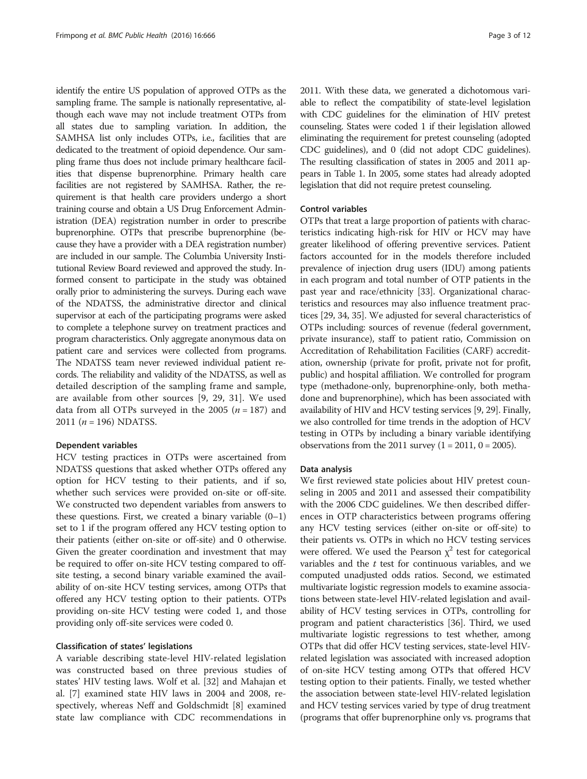identify the entire US population of approved OTPs as the sampling frame. The sample is nationally representative, although each wave may not include treatment OTPs from all states due to sampling variation. In addition, the SAMHSA list only includes OTPs, i.e., facilities that are dedicated to the treatment of opioid dependence. Our sampling frame thus does not include primary healthcare facilities that dispense buprenorphine. Primary health care facilities are not registered by SAMHSA. Rather, the requirement is that health care providers undergo a short training course and obtain a US Drug Enforcement Administration (DEA) registration number in order to prescribe buprenorphine. OTPs that prescribe buprenorphine (because they have a provider with a DEA registration number) are included in our sample. The Columbia University Institutional Review Board reviewed and approved the study. Informed consent to participate in the study was obtained orally prior to administering the surveys. During each wave of the NDATSS, the administrative director and clinical supervisor at each of the participating programs were asked to complete a telephone survey on treatment practices and program characteristics. Only aggregate anonymous data on patient care and services were collected from programs. The NDATSS team never reviewed individual patient records. The reliability and validity of the NDATSS, as well as detailed description of the sampling frame and sample, are available from other sources [\[9](#page-10-0), [29, 31\]](#page-10-0). We used data from all OTPs surveyed in the 2005 ( $n = 187$ ) and 2011 ( $n = 196$ ) NDATSS.

## Dependent variables

HCV testing practices in OTPs were ascertained from NDATSS questions that asked whether OTPs offered any option for HCV testing to their patients, and if so, whether such services were provided on-site or off-site. We constructed two dependent variables from answers to these questions. First, we created a binary variable  $(0-1)$ set to 1 if the program offered any HCV testing option to their patients (either on-site or off-site) and 0 otherwise. Given the greater coordination and investment that may be required to offer on-site HCV testing compared to offsite testing, a second binary variable examined the availability of on-site HCV testing services, among OTPs that offered any HCV testing option to their patients. OTPs providing on-site HCV testing were coded 1, and those providing only off-site services were coded 0.

## Classification of states' legislations

A variable describing state-level HIV-related legislation was constructed based on three previous studies of states' HIV testing laws. Wolf et al. [\[32](#page-10-0)] and Mahajan et al. [\[7](#page-10-0)] examined state HIV laws in 2004 and 2008, respectively, whereas Neff and Goldschmidt [\[8](#page-10-0)] examined state law compliance with CDC recommendations in 2011. With these data, we generated a dichotomous variable to reflect the compatibility of state-level legislation with CDC guidelines for the elimination of HIV pretest counseling. States were coded 1 if their legislation allowed eliminating the requirement for pretest counseling (adopted CDC guidelines), and 0 (did not adopt CDC guidelines). The resulting classification of states in 2005 and 2011 appears in Table [1.](#page-3-0) In 2005, some states had already adopted legislation that did not require pretest counseling.

## Control variables

OTPs that treat a large proportion of patients with characteristics indicating high-risk for HIV or HCV may have greater likelihood of offering preventive services. Patient factors accounted for in the models therefore included prevalence of injection drug users (IDU) among patients in each program and total number of OTP patients in the past year and race/ethnicity [[33](#page-10-0)]. Organizational characteristics and resources may also influence treatment practices [\[29](#page-10-0), [34](#page-10-0), [35\]](#page-10-0). We adjusted for several characteristics of OTPs including: sources of revenue (federal government, private insurance), staff to patient ratio, Commission on Accreditation of Rehabilitation Facilities (CARF) accreditation, ownership (private for profit, private not for profit, public) and hospital affiliation. We controlled for program type (methadone-only, buprenorphine-only, both methadone and buprenorphine), which has been associated with availability of HIV and HCV testing services [[9, 29\]](#page-10-0). Finally, we also controlled for time trends in the adoption of HCV testing in OTPs by including a binary variable identifying observations from the 2011 survey  $(1 = 2011, 0 = 2005)$ .

## Data analysis

We first reviewed state policies about HIV pretest counseling in 2005 and 2011 and assessed their compatibility with the 2006 CDC guidelines. We then described differences in OTP characteristics between programs offering any HCV testing services (either on-site or off-site) to their patients vs. OTPs in which no HCV testing services were offered. We used the Pearson  $\chi^2$  test for categorical variables and the  $t$  test for continuous variables, and we computed unadjusted odds ratios. Second, we estimated multivariate logistic regression models to examine associations between state-level HIV-related legislation and availability of HCV testing services in OTPs, controlling for program and patient characteristics [\[36](#page-10-0)]. Third, we used multivariate logistic regressions to test whether, among OTPs that did offer HCV testing services, state-level HIVrelated legislation was associated with increased adoption of on-site HCV testing among OTPs that offered HCV testing option to their patients. Finally, we tested whether the association between state-level HIV-related legislation and HCV testing services varied by type of drug treatment (programs that offer buprenorphine only vs. programs that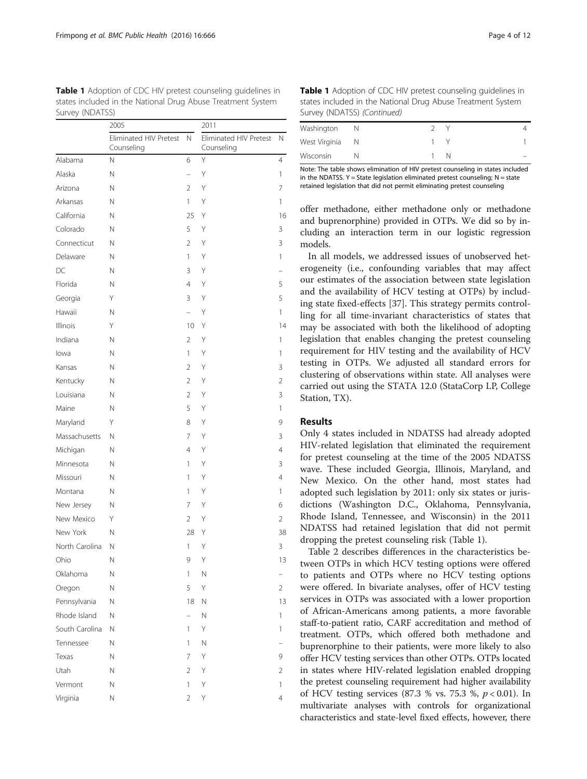<span id="page-3-0"></span>Table 1 Adoption of CDC HIV pretest counseling quidelines in states included in the National Drug Abuse Treatment System Survey (NDATSS)

|                | 2005                                 |                | 2011                                 |                |
|----------------|--------------------------------------|----------------|--------------------------------------|----------------|
|                | Eliminated HIV Pretest<br>Counseling | N.             | Eliminated HIV Pretest<br>Counseling | N              |
| Alabama        | Ν                                    | 6              | Υ                                    | $\overline{4}$ |
| Alaska         | Ν                                    |                | Υ                                    | 1              |
| Arizona        | Ν                                    | $\overline{2}$ | Υ                                    | 7              |
| Arkansas       | Ν                                    | 1              | Υ                                    | 1              |
| California     | Ν                                    | 25             | Υ                                    | 16             |
| Colorado       | Ν                                    | 5              | Υ                                    | 3              |
| Connecticut    | Ν                                    | $\overline{2}$ | Υ                                    | 3              |
| Delaware       | Ν                                    | 1              | Υ                                    | 1              |
| DC             | Ν                                    | 3              | Υ                                    |                |
| Florida        | Ν                                    | $\overline{4}$ | Υ                                    | 5              |
| Georgia        | Y                                    | 3              | Υ                                    | 5              |
| Hawaii         | Ν                                    | $\overline{a}$ | Υ                                    | 1              |
| Illinois       | Y                                    | 10             | Υ                                    | 14             |
| Indiana        | Ν                                    | $\overline{2}$ | Υ                                    | 1              |
| lowa           | Ν                                    | 1              | Υ                                    | 1              |
| Kansas         | Ν                                    | $\overline{2}$ | Υ                                    | 3              |
| Kentucky       | Ν                                    | $\overline{2}$ | Υ                                    | 2              |
| Louisiana      | Ν                                    | $\overline{2}$ | Υ                                    | 3              |
| Maine          | Ν                                    | 5              | Υ                                    | 1              |
| Maryland       | Υ                                    | 8              | Υ                                    | 9              |
| Massachusetts  | Ν                                    | 7              | Υ                                    | 3              |
| Michigan       | Ν                                    | $\overline{4}$ | Υ                                    | $\overline{4}$ |
| Minnesota      | Ν                                    | 1              | Υ                                    | 3              |
| Missouri       | Ν                                    | 1              | Υ                                    | $\overline{4}$ |
| Montana        | Ν                                    | 1              | Υ                                    | 1              |
| New Jersey     | Ν                                    | 7              | Υ                                    | 6              |
| New Mexico     | Y                                    | $\overline{2}$ | Υ                                    | 2              |
| New York       | Ν                                    | 28             | Υ                                    | 38             |
| North Carolina | Ν                                    | 1              | Υ                                    | 3              |
| Ohio           | Ν                                    | 9              | Υ                                    | 13             |
| Oklahoma       | Ν                                    | 1              | Ν                                    |                |
| Oregon         | Ν                                    | 5              | Υ                                    | 2              |
| Pennsylvania   | Ν                                    | 18             | Ν                                    | 13             |
| Rhode Island   | Ν                                    | $\overline{a}$ | N                                    | 1              |
| South Carolina | Ν                                    | 1              | Υ                                    | 1              |
| Tennessee      | Ν                                    | 1              | N                                    |                |
| Texas          | $\hbox{N}$                           | 7              | Υ                                    | 9              |
| Utah           | $\hbox{N}$                           | $\overline{2}$ | Υ                                    | 2              |
| Vermont        | Ν                                    | 1              | Υ                                    | 1              |
| Virginia       | Ν                                    | $\overline{2}$ | Υ                                    | 4              |

Table 1 Adoption of CDC HIV pretest counseling guidelines in states included in the National Drug Abuse Treatment System Survey (NDATSS) (Continued)

| Washington      |  |  |  |
|-----------------|--|--|--|
| West Virginia N |  |  |  |
| Wisconsin       |  |  |  |

Note: The table shows elimination of HIV pretest counseling in states included in the NDATSS.  $Y = State$  legislation eliminated pretest counseling; N = state retained legislation that did not permit eliminating pretest counseling

offer methadone, either methadone only or methadone and buprenorphine) provided in OTPs. We did so by including an interaction term in our logistic regression models.

In all models, we addressed issues of unobserved heterogeneity (i.e., confounding variables that may affect our estimates of the association between state legislation and the availability of HCV testing at OTPs) by including state fixed-effects [[37\]](#page-10-0). This strategy permits controlling for all time-invariant characteristics of states that may be associated with both the likelihood of adopting legislation that enables changing the pretest counseling requirement for HIV testing and the availability of HCV testing in OTPs. We adjusted all standard errors for clustering of observations within state. All analyses were carried out using the STATA 12.0 (StataCorp LP, College Station, TX).

## Results

Only 4 states included in NDATSS had already adopted HIV-related legislation that eliminated the requirement for pretest counseling at the time of the 2005 NDATSS wave. These included Georgia, Illinois, Maryland, and New Mexico. On the other hand, most states had adopted such legislation by 2011: only six states or jurisdictions (Washington D.C., Oklahoma, Pennsylvania, Rhode Island, Tennessee, and Wisconsin) in the 2011 NDATSS had retained legislation that did not permit dropping the pretest counseling risk (Table 1).

Table [2](#page-4-0) describes differences in the characteristics between OTPs in which HCV testing options were offered to patients and OTPs where no HCV testing options were offered. In bivariate analyses, offer of HCV testing services in OTPs was associated with a lower proportion of African-Americans among patients, a more favorable staff-to-patient ratio, CARF accreditation and method of treatment. OTPs, which offered both methadone and buprenorphine to their patients, were more likely to also offer HCV testing services than other OTPs. OTPs located in states where HIV-related legislation enabled dropping the pretest counseling requirement had higher availability of HCV testing services (87.3 % vs. 75.3 %,  $p < 0.01$ ). In multivariate analyses with controls for organizational characteristics and state-level fixed effects, however, there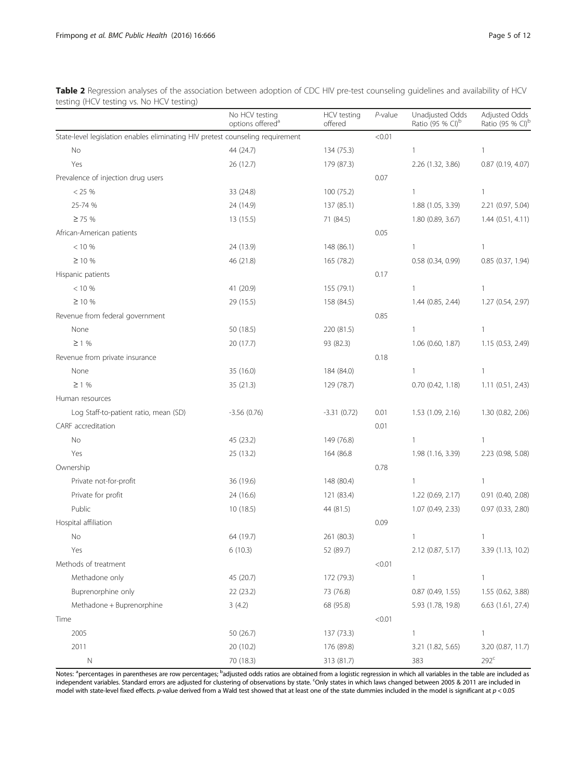<span id="page-4-0"></span>Table 2 Regression analyses of the association between adoption of CDC HIV pre-test counseling guidelines and availability of HCV testing (HCV testing vs. No HCV testing)

|                                                                                | No HCV testing<br>options offered <sup>a</sup> | HCV testing<br>offered | $P$ -value | Unadjusted Odds<br>Ratio (95 % CI) <sup>b</sup> | Adjusted Odds<br>Ratio (95 % CI) <sup>t</sup> |
|--------------------------------------------------------------------------------|------------------------------------------------|------------------------|------------|-------------------------------------------------|-----------------------------------------------|
| State-level legislation enables eliminating HIV pretest counseling requirement |                                                |                        | < 0.01     |                                                 |                                               |
| No                                                                             | 44 (24.7)                                      | 134 (75.3)             |            | $\mathbf{1}$                                    | 1                                             |
| Yes                                                                            | 26 (12.7)                                      | 179 (87.3)             |            | 2.26 (1.32, 3.86)                               | 0.87 (0.19, 4.07)                             |
| Prevalence of injection drug users                                             |                                                |                        | 0.07       |                                                 |                                               |
| < 25 %                                                                         | 33 (24.8)                                      | 100 (75.2)             |            | $\mathbf{1}$                                    | $\mathbf{1}$                                  |
| 25-74 %                                                                        | 24 (14.9)                                      | 137 (85.1)             |            | 1.88 (1.05, 3.39)                               | 2.21 (0.97, 5.04)                             |
| $\geq$ 75 %                                                                    | 13 (15.5)                                      | 71 (84.5)              |            | 1.80 (0.89, 3.67)                               | 1.44(0.51, 4.11)                              |
| African-American patients                                                      |                                                |                        | 0.05       |                                                 |                                               |
| < 10 %                                                                         | 24 (13.9)                                      | 148 (86.1)             |            | $\mathbf{1}$                                    | 1                                             |
| $\geq 10 \%$                                                                   | 46 (21.8)                                      | 165 (78.2)             |            | $0.58$ $(0.34, 0.99)$                           | 0.85 (0.37, 1.94)                             |
| Hispanic patients                                                              |                                                |                        | 0.17       |                                                 |                                               |
| < 10 %                                                                         | 41 (20.9)                                      | 155 (79.1)             |            | $\mathbf{1}$                                    | $\mathbf{1}$                                  |
| $\geq 10 \%$                                                                   | 29 (15.5)                                      | 158 (84.5)             |            | 1.44(0.85, 2.44)                                | 1.27 (0.54, 2.97)                             |
| Revenue from federal government                                                |                                                |                        | 0.85       |                                                 |                                               |
| None                                                                           | 50 (18.5)                                      | 220 (81.5)             |            | $\mathbf{1}$                                    | 1                                             |
| $\geq$ 1 %                                                                     | 20 (17.7)                                      | 93 (82.3)              |            | $1.06$ (0.60, 1.87)                             | 1.15 (0.53, 2.49)                             |
| Revenue from private insurance                                                 |                                                |                        | 0.18       |                                                 |                                               |
| None                                                                           | 35 (16.0)                                      | 184 (84.0)             |            | $\mathbf{1}$                                    | $\mathbf{1}$                                  |
| $\geq$ 1 %                                                                     | 35 (21.3)                                      | 129 (78.7)             |            | $0.70$ $(0.42, 1.18)$                           | 1.11(0.51, 2.43)                              |
| Human resources                                                                |                                                |                        |            |                                                 |                                               |
| Log Staff-to-patient ratio, mean (SD)                                          | $-3.56(0.76)$                                  | $-3.31(0.72)$          | 0.01       | 1.53(1.09, 2.16)                                | 1.30 (0.82, 2.06)                             |
| CARF accreditation                                                             |                                                |                        | 0.01       |                                                 |                                               |
| No                                                                             | 45 (23.2)                                      | 149 (76.8)             |            | $\mathbf{1}$                                    | $\mathbf{1}$                                  |
| Yes                                                                            | 25 (13.2)                                      | 164 (86.8              |            | 1.98 (1.16, 3.39)                               | 2.23 (0.98, 5.08)                             |
| Ownership                                                                      |                                                |                        | 0.78       |                                                 |                                               |
| Private not-for-profit                                                         | 36 (19.6)                                      | 148 (80.4)             |            | 1                                               | 1                                             |
| Private for profit                                                             | 24 (16.6)                                      | 121 (83.4)             |            | 1.22 (0.69, 2.17)                               | 0.91 (0.40, 2.08)                             |
| Public                                                                         | 10(18.5)                                       | 44 (81.5)              |            | 1.07(0.49, 2.33)                                | 0.97 (0.33, 2.80)                             |
| Hospital affiliation                                                           |                                                |                        | 0.09       |                                                 |                                               |
| No                                                                             | 64 (19.7)                                      | 261 (80.3)             |            | 1                                               | 1                                             |
| Yes                                                                            | 6(10.3)                                        | 52 (89.7)              |            | 2.12 (0.87, 5.17)                               | 3.39 (1.13, 10.2)                             |
| Methods of treatment                                                           |                                                |                        | < 0.01     |                                                 |                                               |
| Methadone only                                                                 | 45 (20.7)                                      | 172 (79.3)             |            | $\mathbf{1}$                                    | $\mathbf{1}$                                  |
| Buprenorphine only                                                             | 22 (23.2)                                      | 73 (76.8)              |            | $0.87$ (0.49, 1.55)                             | 1.55 (0.62, 3.88)                             |
| Methadone + Buprenorphine                                                      | 3(4.2)                                         | 68 (95.8)              |            | 5.93 (1.78, 19.8)                               | 6.63 (1.61, 27.4)                             |
| Time                                                                           |                                                |                        | < 0.01     |                                                 |                                               |
| 2005                                                                           | 50 (26.7)                                      | 137 (73.3)             |            | 1                                               | $\mathbf{1}$                                  |
| 2011                                                                           | 20 (10.2)                                      | 176 (89.8)             |            | 3.21 (1.82, 5.65)                               | 3.20 (0.87, 11.7)                             |
| $\mathsf N$                                                                    | 70 (18.3)                                      | 313 (81.7)             |            | 383                                             | $292^c$                                       |

Notes: <sup>a</sup>percentages in parentheses are row percentages; <sup>b</sup>adjusted odds ratios are obtained from a logistic regression in which all variables in the table are included as independent variables. Standard errors are adjusted for clustering of observations by state. <sup>C</sup>Only states in which laws changed between 2005 & 2011 are included in model with state-level fixed effects. p-value derived from a Wald test showed that at least one of the state dummies included in the model is significant at p < 0.05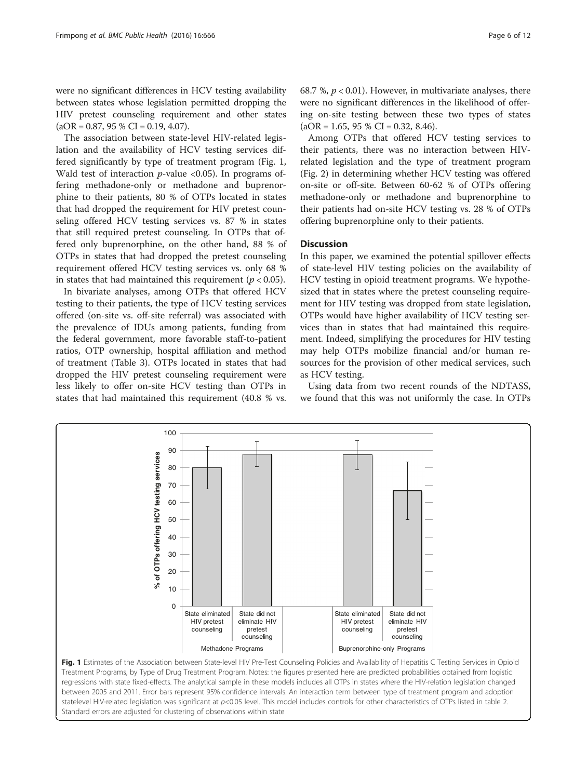were no significant differences in HCV testing availability between states whose legislation permitted dropping the HIV pretest counseling requirement and other states  $(aOR = 0.87, 95 % CI = 0.19, 4.07).$ 

The association between state-level HIV-related legislation and the availability of HCV testing services differed significantly by type of treatment program (Fig. 1, Wald test of interaction  $p$ -value <0.05). In programs offering methadone-only or methadone and buprenorphine to their patients, 80 % of OTPs located in states that had dropped the requirement for HIV pretest counseling offered HCV testing services vs. 87 % in states that still required pretest counseling. In OTPs that offered only buprenorphine, on the other hand, 88 % of OTPs in states that had dropped the pretest counseling requirement offered HCV testing services vs. only 68 % in states that had maintained this requirement ( $p < 0.05$ ).

In bivariate analyses, among OTPs that offered HCV testing to their patients, the type of HCV testing services offered (on-site vs. off-site referral) was associated with the prevalence of IDUs among patients, funding from the federal government, more favorable staff-to-patient ratios, OTP ownership, hospital affiliation and method of treatment (Table [3\)](#page-6-0). OTPs located in states that had dropped the HIV pretest counseling requirement were less likely to offer on-site HCV testing than OTPs in states that had maintained this requirement (40.8 % vs. 68.7 %,  $p < 0.01$ ). However, in multivariate analyses, there were no significant differences in the likelihood of offering on-site testing between these two types of states  $(aOR = 1.65, 95 % CI = 0.32, 8.46).$ 

Among OTPs that offered HCV testing services to their patients, there was no interaction between HIVrelated legislation and the type of treatment program (Fig. [2](#page-7-0)) in determining whether HCV testing was offered on-site or off-site. Between 60-62 % of OTPs offering methadone-only or methadone and buprenorphine to their patients had on-site HCV testing vs. 28 % of OTPs offering buprenorphine only to their patients.

## **Discussion**

In this paper, we examined the potential spillover effects of state-level HIV testing policies on the availability of HCV testing in opioid treatment programs. We hypothesized that in states where the pretest counseling requirement for HIV testing was dropped from state legislation, OTPs would have higher availability of HCV testing services than in states that had maintained this requirement. Indeed, simplifying the procedures for HIV testing may help OTPs mobilize financial and/or human resources for the provision of other medical services, such as HCV testing.

Using data from two recent rounds of the NDTASS, we found that this was not uniformly the case. In OTPs



regressions with state fixed-effects. The analytical sample in these models includes all OTPs in states where the HIV-relation legislation changed between 2005 and 2011. Error bars represent 95% confidence intervals. An interaction term between type of treatment program and adoption statelevel HIV-related legislation was significant at p<0.05 level. This model includes controls for other characteristics of OTPs listed in table 2. Standard errors are adjusted for clustering of observations within state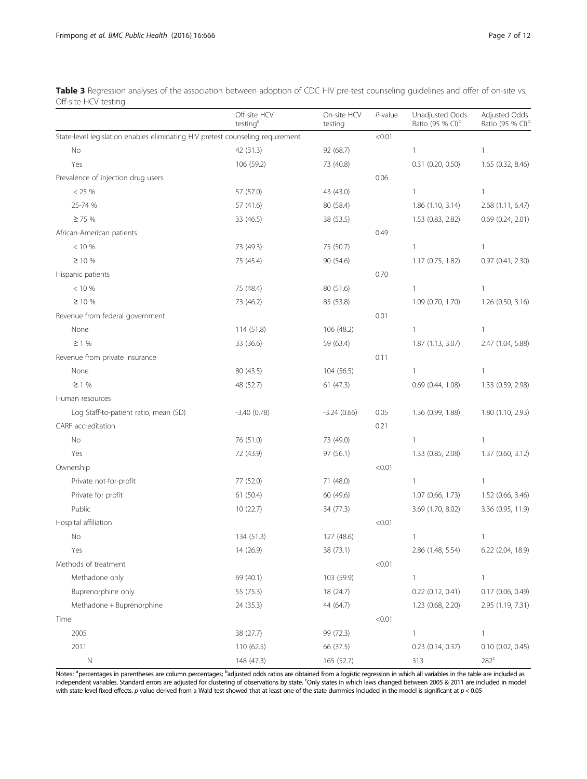<span id="page-6-0"></span>Table 3 Regression analyses of the association between adoption of CDC HIV pre-test counseling guidelines and offer of on-site vs. Off-site HCV testing

|                                                                                | Off-site HCV<br>testing <sup>a</sup> | On-site HCV<br>testing | $P$ -value | Unadjusted Odds<br>Ratio (95 % CI) <sup>b</sup> | Adjusted Odds<br>Ratio (95 % CI) <sup>t</sup> |
|--------------------------------------------------------------------------------|--------------------------------------|------------------------|------------|-------------------------------------------------|-----------------------------------------------|
| State-level legislation enables eliminating HIV pretest counseling requirement |                                      |                        | < 0.01     |                                                 |                                               |
| No                                                                             | 42 (31.3)                            | 92 (68.7)              |            | $\mathbf{1}$                                    | $\mathbf{1}$                                  |
| Yes                                                                            | 106 (59.2)                           | 73 (40.8)              |            | $0.31$ (0.20, 0.50)                             | 1.65 (0.32, 8.46)                             |
| Prevalence of injection drug users                                             |                                      |                        | 0.06       |                                                 |                                               |
| < 25 %                                                                         | 57 (57.0)                            | 43 (43.0)              |            | $\mathbf{1}$                                    | $\mathbf{1}$                                  |
| 25-74 %                                                                        | 57 (41.6)                            | 80 (58.4)              |            | 1.86 (1.10, 3.14)                               | 2.68 (1.11, 6.47)                             |
| $\geq$ 75 %                                                                    | 33 (46.5)                            | 38 (53.5)              |            | 1.53 (0.83, 2.82)                               | $0.69$ $(0.24, 2.01)$                         |
| African-American patients                                                      |                                      |                        | 0.49       |                                                 |                                               |
| $< 10 \%$                                                                      | 73 (49.3)                            | 75 (50.7)              |            | 1                                               | 1                                             |
| $\geq$ 10 %                                                                    | 75 (45.4)                            | 90 (54.6)              |            | 1.17(0.75, 1.82)                                | $0.97$ $(0.41, 2.30)$                         |
| Hispanic patients                                                              |                                      |                        | 0.70       |                                                 |                                               |
| < 10 %                                                                         | 75 (48.4)                            | 80 (51.6)              |            | 1                                               | $\mathbf{1}$                                  |
| $\geq 10 \%$                                                                   | 73 (46.2)                            | 85 (53.8)              |            | 1.09 (0.70, 1.70)                               | 1.26 (0.50, 3.16)                             |
| Revenue from federal government                                                |                                      |                        | 0.01       |                                                 |                                               |
| None                                                                           | 114 (51.8)                           | 106 (48.2)             |            | 1                                               | 1                                             |
| $\geq$ 1 %                                                                     | 33 (36.6)                            | 59 (63.4)              |            | 1.87(1.13, 3.07)                                | 2.47 (1.04, 5.88)                             |
| Revenue from private insurance                                                 |                                      |                        | 0.11       |                                                 |                                               |
| None                                                                           | 80 (43.5)                            | 104 (56.5)             |            | 1                                               | $\mathbf{1}$                                  |
| $\geq$ 1 %                                                                     | 48 (52.7)                            | 61(47.3)               |            | 0.69(0.44, 1.08)                                | 1.33 (0.59, 2.98)                             |
| Human resources                                                                |                                      |                        |            |                                                 |                                               |
| Log Staff-to-patient ratio, mean (SD)                                          | $-3.40(0.78)$                        | $-3.24(0.66)$          | 0.05       | 1.36 (0.99, 1.88)                               | 1.80 (1.10, 2.93)                             |
| CARF accreditation                                                             |                                      |                        | 0.21       |                                                 |                                               |
| No                                                                             | 76 (51.0)                            | 73 (49.0)              |            | 1                                               | $\mathbf{1}$                                  |
| Yes                                                                            | 72 (43.9)                            | 97 (56.1)              |            | 1.33 (0.85, 2.08)                               | 1.37 (0.60, 3.12)                             |
| Ownership                                                                      |                                      |                        | < 0.01     |                                                 |                                               |
| Private not-for-profit                                                         | 77 (52.0)                            | 71 (48.0)              |            | 1                                               | 1                                             |
| Private for profit                                                             | 61 (50.4)                            | 60 (49.6)              |            | 1.07 (0.66, 1.73)                               | 1.52 (0.66, 3.46)                             |
| Public                                                                         | 10(22.7)                             | 34 (77.3)              |            | 3.69 (1.70, 8.02)                               | 3.36 (0.95, 11.9)                             |
| Hospital affiliation                                                           |                                      |                        | < 0.01     |                                                 |                                               |
| No                                                                             | 134 (51.3)                           | 127 (48.6)             |            | 1                                               | 1                                             |
| Yes                                                                            | 14 (26.9)                            | 38 (73.1)              |            | 2.86 (1.48, 5.54)                               | 6.22 (2.04, 18.9)                             |
| Methods of treatment                                                           |                                      |                        | < 0.01     |                                                 |                                               |
| Methadone only                                                                 | 69 (40.1)                            | 103 (59.9)             |            | 1                                               | $\mathbf{1}$                                  |
| Buprenorphine only                                                             | 55 (75.3)                            | 18 (24.7)              |            | $0.22$ (0.12, 0.41)                             | 0.17 (0.06, 0.49)                             |
| Methadone + Buprenorphine                                                      | 24 (35.3)                            | 44 (64.7)              |            | 1.23 (0.68, 2.20)                               | 2.95 (1.19, 7.31)                             |
| Time                                                                           |                                      |                        | < 0.01     |                                                 |                                               |
| 2005                                                                           | 38 (27.7)                            | 99 (72.3)              |            | $\mathbf{1}$                                    | $\mathbf{1}$                                  |
| 2011                                                                           | 110 (62.5)                           | 66 (37.5)              |            | 0.23 (0.14, 0.37)                               | $0.10$ $(0.02, 0.45)$                         |
| $\mathsf N$                                                                    | 148 (47.3)                           | 165 (52.7)             |            | 313                                             | $282^c$                                       |

Notes: <sup>a</sup>percentages in parentheses are column percentages; <sup>b</sup>adjusted odds ratios are obtained from a logistic regression in which all variables in the table are included as independent variables. Standard errors are adjusted for clustering of observations by state. <sup>c</sup>Only states in which laws changed between 2005 & 2011 are included in model with state-level fixed effects. p-value derived from a Wald test showed that at least one of the state dummies included in the model is significant at p < 0.05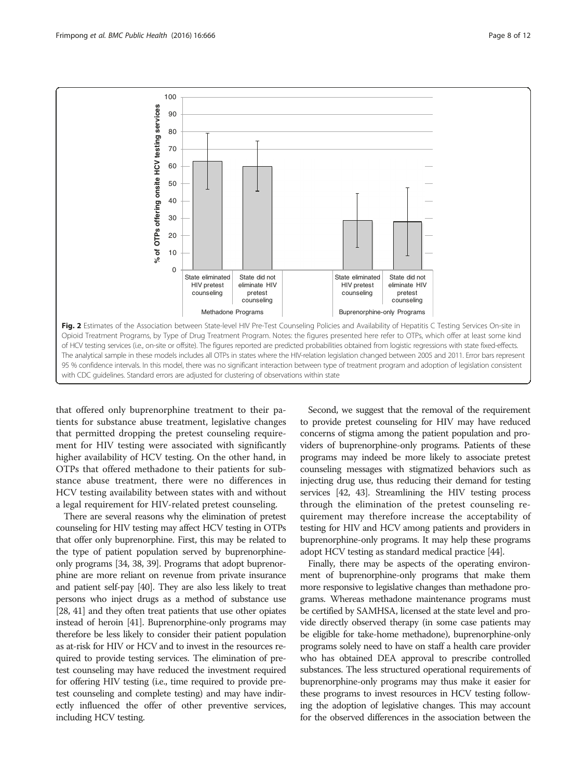<span id="page-7-0"></span>

that offered only buprenorphine treatment to their patients for substance abuse treatment, legislative changes that permitted dropping the pretest counseling requirement for HIV testing were associated with significantly higher availability of HCV testing. On the other hand, in OTPs that offered methadone to their patients for substance abuse treatment, there were no differences in HCV testing availability between states with and without a legal requirement for HIV-related pretest counseling.

There are several reasons why the elimination of pretest counseling for HIV testing may affect HCV testing in OTPs that offer only buprenorphine. First, this may be related to the type of patient population served by buprenorphineonly programs [\[34](#page-10-0), [38, 39](#page-10-0)]. Programs that adopt buprenorphine are more reliant on revenue from private insurance and patient self-pay [\[40\]](#page-10-0). They are also less likely to treat persons who inject drugs as a method of substance use [[28](#page-10-0), [41\]](#page-10-0) and they often treat patients that use other opiates instead of heroin [[41](#page-10-0)]. Buprenorphine-only programs may therefore be less likely to consider their patient population as at-risk for HIV or HCV and to invest in the resources required to provide testing services. The elimination of pretest counseling may have reduced the investment required for offering HIV testing (i.e., time required to provide pretest counseling and complete testing) and may have indirectly influenced the offer of other preventive services, including HCV testing.

Second, we suggest that the removal of the requirement to provide pretest counseling for HIV may have reduced concerns of stigma among the patient population and providers of buprenorphine-only programs. Patients of these programs may indeed be more likely to associate pretest counseling messages with stigmatized behaviors such as injecting drug use, thus reducing their demand for testing services [[42](#page-10-0), [43](#page-10-0)]. Streamlining the HIV testing process through the elimination of the pretest counseling requirement may therefore increase the acceptability of testing for HIV and HCV among patients and providers in buprenorphine-only programs. It may help these programs adopt HCV testing as standard medical practice [[44](#page-10-0)].

Finally, there may be aspects of the operating environment of buprenorphine-only programs that make them more responsive to legislative changes than methadone programs. Whereas methadone maintenance programs must be certified by SAMHSA, licensed at the state level and provide directly observed therapy (in some case patients may be eligible for take-home methadone), buprenorphine-only programs solely need to have on staff a health care provider who has obtained DEA approval to prescribe controlled substances. The less structured operational requirements of buprenorphine-only programs may thus make it easier for these programs to invest resources in HCV testing following the adoption of legislative changes. This may account for the observed differences in the association between the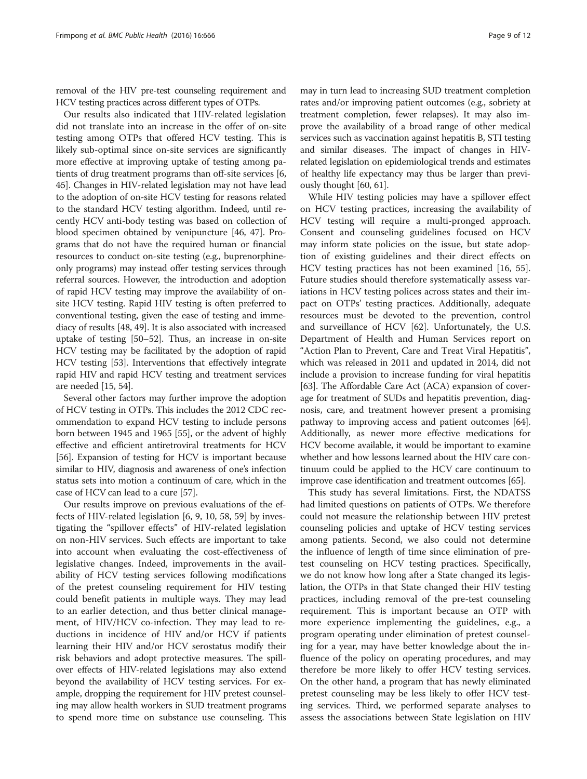removal of the HIV pre-test counseling requirement and HCV testing practices across different types of OTPs.

Our results also indicated that HIV-related legislation did not translate into an increase in the offer of on-site testing among OTPs that offered HCV testing. This is likely sub-optimal since on-site services are significantly more effective at improving uptake of testing among patients of drug treatment programs than off-site services [[6](#page-10-0), [45](#page-10-0)]. Changes in HIV-related legislation may not have lead to the adoption of on-site HCV testing for reasons related to the standard HCV testing algorithm. Indeed, until recently HCV anti-body testing was based on collection of blood specimen obtained by venipuncture [\[46, 47\]](#page-10-0). Programs that do not have the required human or financial resources to conduct on-site testing (e.g., buprenorphineonly programs) may instead offer testing services through referral sources. However, the introduction and adoption of rapid HCV testing may improve the availability of onsite HCV testing. Rapid HIV testing is often preferred to conventional testing, given the ease of testing and immediacy of results [\[48, 49](#page-10-0)]. It is also associated with increased uptake of testing [[50](#page-11-0)–[52\]](#page-11-0). Thus, an increase in on-site HCV testing may be facilitated by the adoption of rapid HCV testing [[53](#page-11-0)]. Interventions that effectively integrate rapid HIV and rapid HCV testing and treatment services are needed [[15](#page-10-0), [54\]](#page-11-0).

Several other factors may further improve the adoption of HCV testing in OTPs. This includes the 2012 CDC recommendation to expand HCV testing to include persons born between 1945 and 1965 [\[55](#page-11-0)], or the advent of highly effective and efficient antiretroviral treatments for HCV [[56](#page-11-0)]. Expansion of testing for HCV is important because similar to HIV, diagnosis and awareness of one's infection status sets into motion a continuum of care, which in the case of HCV can lead to a cure [[57](#page-11-0)].

Our results improve on previous evaluations of the effects of HIV-related legislation [\[6](#page-10-0), [9](#page-10-0), [10,](#page-10-0) [58, 59\]](#page-11-0) by investigating the "spillover effects" of HIV-related legislation on non-HIV services. Such effects are important to take into account when evaluating the cost-effectiveness of legislative changes. Indeed, improvements in the availability of HCV testing services following modifications of the pretest counseling requirement for HIV testing could benefit patients in multiple ways. They may lead to an earlier detection, and thus better clinical management, of HIV/HCV co-infection. They may lead to reductions in incidence of HIV and/or HCV if patients learning their HIV and/or HCV serostatus modify their risk behaviors and adopt protective measures. The spillover effects of HIV-related legislations may also extend beyond the availability of HCV testing services. For example, dropping the requirement for HIV pretest counseling may allow health workers in SUD treatment programs to spend more time on substance use counseling. This

may in turn lead to increasing SUD treatment completion rates and/or improving patient outcomes (e.g., sobriety at treatment completion, fewer relapses). It may also improve the availability of a broad range of other medical services such as vaccination against hepatitis B, STI testing and similar diseases. The impact of changes in HIVrelated legislation on epidemiological trends and estimates of healthy life expectancy may thus be larger than previously thought [\[60, 61](#page-11-0)].

While HIV testing policies may have a spillover effect on HCV testing practices, increasing the availability of HCV testing will require a multi-pronged approach. Consent and counseling guidelines focused on HCV may inform state policies on the issue, but state adoption of existing guidelines and their direct effects on HCV testing practices has not been examined [\[16](#page-10-0), [55](#page-11-0)]. Future studies should therefore systematically assess variations in HCV testing polices across states and their impact on OTPs' testing practices. Additionally, adequate resources must be devoted to the prevention, control and surveillance of HCV [\[62\]](#page-11-0). Unfortunately, the U.S. Department of Health and Human Services report on "Action Plan to Prevent, Care and Treat Viral Hepatitis", which was released in 2011 and updated in 2014, did not include a provision to increase funding for viral hepatitis [[63](#page-11-0)]. The Affordable Care Act (ACA) expansion of coverage for treatment of SUDs and hepatitis prevention, diagnosis, care, and treatment however present a promising pathway to improving access and patient outcomes [[64](#page-11-0)]. Additionally, as newer more effective medications for HCV become available, it would be important to examine whether and how lessons learned about the HIV care continuum could be applied to the HCV care continuum to improve case identification and treatment outcomes [[65](#page-11-0)].

This study has several limitations. First, the NDATSS had limited questions on patients of OTPs. We therefore could not measure the relationship between HIV pretest counseling policies and uptake of HCV testing services among patients. Second, we also could not determine the influence of length of time since elimination of pretest counseling on HCV testing practices. Specifically, we do not know how long after a State changed its legislation, the OTPs in that State changed their HIV testing practices, including removal of the pre-test counseling requirement. This is important because an OTP with more experience implementing the guidelines, e.g., a program operating under elimination of pretest counseling for a year, may have better knowledge about the influence of the policy on operating procedures, and may therefore be more likely to offer HCV testing services. On the other hand, a program that has newly eliminated pretest counseling may be less likely to offer HCV testing services. Third, we performed separate analyses to assess the associations between State legislation on HIV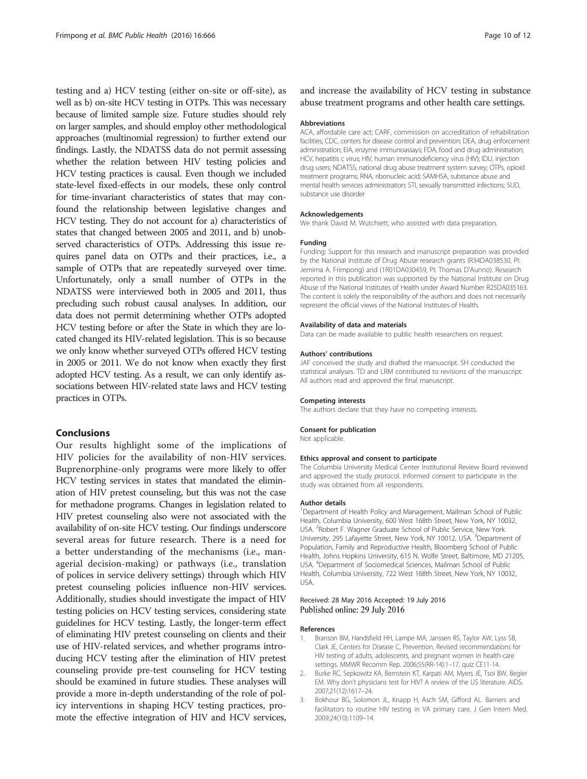<span id="page-9-0"></span>testing and a) HCV testing (either on-site or off-site), as well as b) on-site HCV testing in OTPs. This was necessary because of limited sample size. Future studies should rely on larger samples, and should employ other methodological approaches (multinomial regression) to further extend our findings. Lastly, the NDATSS data do not permit assessing whether the relation between HIV testing policies and HCV testing practices is causal. Even though we included state-level fixed-effects in our models, these only control for time-invariant characteristics of states that may confound the relationship between legislative changes and HCV testing. They do not account for a) characteristics of states that changed between 2005 and 2011, and b) unobserved characteristics of OTPs. Addressing this issue requires panel data on OTPs and their practices, i.e., a sample of OTPs that are repeatedly surveyed over time. Unfortunately, only a small number of OTPs in the NDATSS were interviewed both in 2005 and 2011, thus precluding such robust causal analyses. In addition, our data does not permit determining whether OTPs adopted HCV testing before or after the State in which they are located changed its HIV-related legislation. This is so because we only know whether surveyed OTPs offered HCV testing in 2005 or 2011. We do not know when exactly they first adopted HCV testing. As a result, we can only identify associations between HIV-related state laws and HCV testing practices in OTPs.

## Conclusions

Our results highlight some of the implications of HIV policies for the availability of non-HIV services. Buprenorphine-only programs were more likely to offer HCV testing services in states that mandated the elimination of HIV pretest counseling, but this was not the case for methadone programs. Changes in legislation related to HIV pretest counseling also were not associated with the availability of on-site HCV testing. Our findings underscore several areas for future research. There is a need for a better understanding of the mechanisms (i.e., managerial decision-making) or pathways (i.e., translation of polices in service delivery settings) through which HIV pretest counseling policies influence non-HIV services. Additionally, studies should investigate the impact of HIV testing policies on HCV testing services, considering state guidelines for HCV testing. Lastly, the longer-term effect of eliminating HIV pretest counseling on clients and their use of HIV-related services, and whether programs introducing HCV testing after the elimination of HIV pretest counseling provide pre-test counseling for HCV testing should be examined in future studies. These analyses will provide a more in-depth understanding of the role of policy interventions in shaping HCV testing practices, promote the effective integration of HIV and HCV services,

and increase the availability of HCV testing in substance abuse treatment programs and other health care settings.

#### Abbreviations

ACA, affordable care act; CARF, commission on accreditation of rehabilitation facilities; CDC, centers for disease control and prevention; DEA, drug enforcement administration; EIA, enzyme immunoassays; FDA, food and drug administration; HCV, hepatitis c virus; HIV, human immunodeficiency virus (HIV); IDU, injection drug users; NDATSS, national drug abuse treatment system survey; OTPs, opioid treatment programs; RNA, ribonucleic acid; SAMHSA, substance abuse and mental health services administration; STI, sexually transmitted infections; SUD, substance use disorder

#### Acknowledgements

We thank David M. Wutchiett, who assisted with data preparation.

#### Funding

Funding: Support for this research and manuscript preparation was provided by the National Institute of Drug Abuse research grants (R34DA038530, PI: Jemima A. Frimpong) and (1R01DA030459, PI: Thomas D'Aunno). Research reported in this publication was supported by the National Institute on Drug Abuse of the National Institutes of Health under Award Number R25DA035163. The content is solely the responsibility of the authors and does not necessarily represent the official views of the National Institutes of Health.

## Availability of data and materials

Data can be made available to public health researchers on request.

#### Authors' contributions

JAF conceived the study and drafted the manuscript. SH conducted the statistical analyses. TD and LRM contributed to revisions of the manuscript. All authors read and approved the final manuscript.

## Competing interests

The authors declare that they have no competing interests.

### Consent for publication

Not applicable.

#### Ethics approval and consent to participate

The Columbia University Medical Center Institutional Review Board reviewed and approved the study protocol. Informed consent to participate in the study was obtained from all respondents.

#### Author details

<sup>1</sup>Department of Health Policy and Management, Mailman School of Public Health, Columbia University, 600 West 168th Street, New York, NY 10032, USA. <sup>2</sup>Robert F. Wagner Graduate School of Public Service, New York University, 295 Lafayette Street, New York, NY 10012, USA. <sup>3</sup>Department of Population, Family and Reproductive Health, Bloomberg School of Public Health, Johns Hopkins University, 615 N. Wolfe Street, Baltimore, MD 21205, USA. <sup>4</sup> Department of Sociomedical Sciences, Mailman School of Public Health, Columbia University, 722 West 168th Street, New York, NY 10032, USA.

## Received: 28 May 2016 Accepted: 19 July 2016 Published online: 29 July 2016

#### References

- 1. Branson BM, Handsfield HH, Lampe MA, Janssen RS, Taylor AW, Lyss SB, Clark JE, Centers for Disease C, Prevention. Revised recommendations for HIV testing of adults, adolescents, and pregnant women in health-care settings. MMWR Recomm Rep. 2006;55(RR-14):1–17. quiz CE11-14.
- 2. Burke RC, Sepkowitz KA, Bernstein KT, Karpati AM, Myers JE, Tsoi BW, Begier EM. Why don't physicians test for HIV? A review of the US literature. AIDS. 2007;21(12):1617–24.
- 3. Bokhour BG, Solomon JL, Knapp H, Asch SM, Gifford AL. Barriers and facilitators to routine HIV testing in VA primary care. J Gen Intern Med. 2009;24(10):1109–14.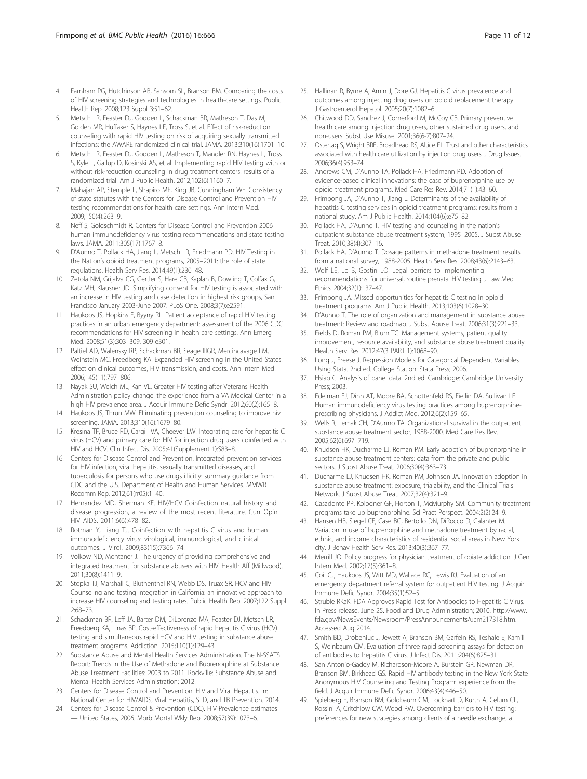- <span id="page-10-0"></span>4. Farnham PG, Hutchinson AB, Sansom SL, Branson BM. Comparing the costs of HIV screening strategies and technologies in health-care settings. Public Health Rep. 2008;123 Suppl 3:51–62.
- 5. Metsch LR, Feaster DJ, Gooden L, Schackman BR, Matheson T, Das M, Golden MR, Huffaker S, Haynes LF, Tross S, et al. Effect of risk-reduction counseling with rapid HIV testing on risk of acquiring sexually transmitted infections: the AWARE randomized clinical trial. JAMA. 2013;310(16):1701–10.
- 6. Metsch LR, Feaster DJ, Gooden L, Matheson T, Mandler RN, Haynes L, Tross S, Kyle T, Gallup D, Kosinski AS, et al. Implementing rapid HIV testing with or without risk-reduction counseling in drug treatment centers: results of a randomized trial. Am J Public Health. 2012;102(6):1160–7.
- 7. Mahajan AP, Stemple L, Shapiro MF, King JB, Cunningham WE. Consistency of state statutes with the Centers for Disease Control and Prevention HIV testing recommendations for health care settings. Ann Intern Med. 2009;150(4):263–9.
- 8. Neff S, Goldschmidt R. Centers for Disease Control and Prevention 2006 human immunodeficiency virus testing recommendations and state testing laws. JAMA. 2011;305(17):1767–8.
- 9. D'Aunno T, Pollack HA, Jiang L, Metsch LR, Friedmann PD. HIV Testing in the Nation's opioid treatment programs, 2005–2011: the role of state regulations. Health Serv Res. 2014;49(1):230–48.
- 10. Zetola NM, Grijalva CG, Gertler S, Hare CB, Kaplan B, Dowling T, Colfax G, Katz MH, Klausner JD. Simplifying consent for HIV testing is associated with an increase in HIV testing and case detection in highest risk groups, San Francisco January 2003-June 2007. PLoS One. 2008;3(7):e2591.
- 11. Haukoos JS, Hopkins E, Byyny RL. Patient acceptance of rapid HIV testing practices in an urban emergency department: assessment of the 2006 CDC recommendations for HIV screening in health care settings. Ann Emerg Med. 2008;51(3):303–309, 309 e301.
- 12. Paltiel AD, Walensky RP, Schackman BR, Seage IIIGR, Mercincavage LM, Weinstein MC, Freedberg KA. Expanded HIV screening in the United States: effect on clinical outcomes, HIV transmission, and costs. Ann Intern Med. 2006;145(11):797–806.
- 13. Nayak SU, Welch ML, Kan VL. Greater HIV testing after Veterans Health Administration policy change: the experience from a VA Medical Center in a high HIV prevalence area. J Acquir Immune Defic Syndr. 2012;60(2):165–8.
- 14. Haukoos JS, Thrun MW. ELiminating prevention counseling to improve hiv screening. JAMA. 2013;310(16):1679–80.
- 15. Kresina TF, Bruce RD, Cargill VA, Cheever LW. Integrating care for hepatitis C virus (HCV) and primary care for HIV for injection drug users coinfected with HIV and HCV. Clin Infect Dis. 2005;41(Supplement 1):S83–8.
- 16. Centers for Disease Control and Prevention. Integrated prevention services for HIV infection, viral hepatitis, sexually transmitted diseases, and tuberculosis for persons who use drugs illicitly: summary guidance from CDC and the U.S. Department of Health and Human Services. MMWR Recomm Rep. 2012;61(rr05):1–40.
- 17. Hernandez MD, Sherman KE. HIV/HCV Coinfection natural history and disease progression, a review of the most recent literature. Curr Opin HIV AIDS. 2011;6(6):478–82.
- 18. Rotman Y, Liang TJ. Coinfection with hepatitis C virus and human immunodeficiency virus: virological, immunological, and clinical outcomes. J Virol. 2009;83(15):7366–74.
- 19. Volkow ND, Montaner J. The urgency of providing comprehensive and integrated treatment for substance abusers with HIV. Health Aff (Millwood). 2011;30(8):1411–9.
- 20. Stopka TJ, Marshall C, Bluthenthal RN, Webb DS, Truax SR. HCV and HIV Counseling and testing integration in California: an innovative approach to increase HIV counseling and testing rates. Public Health Rep. 2007;122 Suppl 2:68–73.
- 21. Schackman BR, Leff JA, Barter DM, DiLorenzo MA, Feaster DJ, Metsch LR, Freedberg KA, Linas BP. Cost-effectiveness of rapid hepatitis C virus (HCV) testing and simultaneous rapid HCV and HIV testing in substance abuse treatment programs. Addiction. 2015;110(1):129–43.
- 22. Substance Abuse and Mental Health Services Administration. The N-SSATS Report: Trends in the Use of Methadone and Buprenorphine at Substance Abuse Treatment Facilities: 2003 to 2011. Rockville: Substance Abuse and Mental Health Services Administration; 2012.
- 23. Centers for Disease Control and Prevention. HIV and Viral Hepatitis. In: National Center for HIV/AIDS, Viral Hepatitis, STD, and TB Prevention. 2014.
- 24. Centers for Disease Control & Prevention (CDC). HIV Prevalence estimates — United States, 2006. Morb Mortal Wkly Rep. 2008;57(39):1073–6.
- 25. Hallinan R, Byrne A, Amin J, Dore GJ. Hepatitis C virus prevalence and outcomes among injecting drug users on opioid replacement therapy. J Gastroenterol Hepatol. 2005;20(7):1082–6.
- 26. Chitwood DD, Sanchez J, Comerford M, McCoy CB. Primary preventive health care among injection drug users, other sustained drug users, and non-users. Subst Use Misuse. 2001;36(6-7):807–24.
- 27. Ostertag S, Wright BRE, Broadhead RS, Altice FL. Trust and other characteristics associated with health care utilization by injection drug users. J Drug Issues. 2006;36(4):953–74.
- 28. Andrews CM, D'Aunno TA, Pollack HA, Friedmann PD. Adoption of evidence-based clinical innovations: the case of buprenorphine use by opioid treatment programs. Med Care Res Rev. 2014;71(1):43–60.
- 29. Frimpong JA, D'Aunno T, Jiang L. Determinants of the availability of hepatitis C testing services in opioid treatment programs: results from a national study. Am J Public Health. 2014;104(6):e75–82.
- 30. Pollack HA, D'Aunno T. HIV testing and counseling in the nation's outpatient substance abuse treatment system, 1995–2005. J Subst Abuse Treat. 2010;38(4):307–16.
- 31. Pollack HA, D'Aunno T. Dosage patterns in methadone treatment: results from a national survey, 1988-2005. Health Serv Res. 2008;43(6):2143–63.
- 32. Wolf LE, Lo B, Gostin LO. Legal barriers to implementing recommendations for universal, routine prenatal HIV testing. J Law Med Ethics. 2004;32(1):137–47.
- 33. Frimpong JA. Missed opportunities for hepatitis C testing in opioid treatment programs. Am J Public Health. 2013;103(6):1028–30.
- 34. D'Aunno T. The role of organization and management in substance abuse treatment: Review and roadmap. J Subst Abuse Treat. 2006;31(3):221–33.
- 35. Fields D, Roman PM, Blum TC. Management systems, patient quality improvement, resource availability, and substance abuse treatment quality. Health Serv Res. 2012;47(3 PART 1):1068–90.
- 36. Long J, Freese J. Regression Models for Categorical Dependent Variables Using Stata. 2nd ed. College Station: Stata Press; 2006.
- 37. Hsiao C. Analysis of panel data. 2nd ed. Cambridge: Cambridge University Press; 2003.
- 38. Edelman EJ, Dinh AT, Moore BA, Schottenfeld RS, Fiellin DA, Sullivan LE. Human immunodeficiency virus testing practices among buprenorphineprescribing physicians. J Addict Med. 2012;6(2):159–65.
- 39. Wells R, Lemak CH, D'Aunno TA. Organizational survival in the outpatient substance abuse treatment sector, 1988-2000. Med Care Res Rev. 2005;62(6):697–719.
- 40. Knudsen HK, Ducharme LJ, Roman PM. Early adoption of buprenorphine in substance abuse treatment centers: data from the private and public sectors. J Subst Abuse Treat. 2006;30(4):363–73.
- 41. Ducharme LJ, Knudsen HK, Roman PM, Johnson JA. Innovation adoption in substance abuse treatment: exposure, trialability, and the Clinical Trials Network. J Subst Abuse Treat. 2007;32(4):321–9.
- 42. Casadonte PP, Kolodner GF, Horton T, McMurphy SM. Community treatment programs take up buprenorphine. Sci Pract Perspect. 2004;2(2):24–9.
- 43. Hansen HB, Siegel CE, Case BG, Bertollo DN, DiRocco D, Galanter M. Variation in use of buprenorphine and methadone treatment by racial, ethnic, and income characteristics of residential social areas in New York city. J Behav Health Serv Res. 2013;40(3):367–77.
- 44. Merrill JO. Policy progress for physician treatment of opiate addiction. J Gen Intern Med. 2002;17(5):361–8.
- 45. Coil CJ, Haukoos JS, Witt MD, Wallace RC, Lewis RJ. Evaluation of an emergency department referral system for outpatient HIV testing. J Acquir Immune Defic Syndr. 2004;35(1):52–5.
- Struble RKaK. FDA Approves Rapid Test for Antibodies to Hepatitis C Virus. In Press release. June 25. Food and Drug Administration; 2010. [http://www.](http://www.fda.gov/NewsEvents/Newsroom/PressAnnouncements/ucm217318.htm) [fda.gov/NewsEvents/Newsroom/PressAnnouncements/ucm217318.htm](http://www.fda.gov/NewsEvents/Newsroom/PressAnnouncements/ucm217318.htm). Accessed Aug 2014.
- 47. Smith BD, Drobeniuc J, Jewett A, Branson BM, Garfein RS, Teshale E, Kamili S, Weinbaum CM. Evaluation of three rapid screening assays for detection of antibodies to hepatitis C virus. J Infect Dis. 2011;204(6):825–31.
- San Antonio-Gaddy M, Richardson-Moore A, Burstein GR, Newman DR, Branson BM, Birkhead GS. Rapid HIV antibody testing in the New York State Anonymous HIV Counseling and Testing Program: experience from the field. J Acquir Immune Defic Syndr. 2006;43(4):446–50.
- 49. Spielberg F, Branson BM, Goldbaum GM, Lockhart D, Kurth A, Celum CL, Rossini A, Critchlow CW, Wood RW. Overcoming barriers to HIV testing: preferences for new strategies among clients of a needle exchange, a